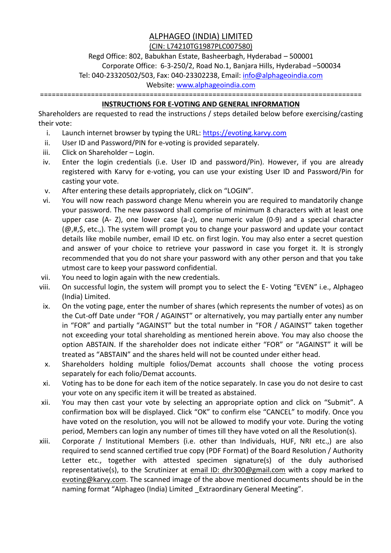## ALPHAGEO (INDIA) LIMITED

## (CIN: L74210TG1987PLC007580)

Regd Office: 802, Babukhan Estate, Basheerbagh, Hyderabad – 500001 Corporate Office: 6-3-250/2, Road No.1, Banjara Hills, Hyderabad –500034 Tel: 040-23320502/503, Fax: 040-23302238, Email: info@alphageoindia.com

Website: www.alphageoindia.com

==================================================================================

## **INSTRUCTIONS FOR E-VOTING AND GENERAL INFORMATION**

Shareholders are requested to read the instructions / steps detailed below before exercising/casting their vote:

- i. Launch internet browser by typing the URL: https://evoting.karvy.com
- ii. User ID and Password/PIN for e-voting is provided separately.
- iii. Click on Shareholder Login.
- iv. Enter the login credentials (i.e. User ID and password/Pin). However, if you are already registered with Karvy for e-voting, you can use your existing User ID and Password/Pin for casting your vote.
- v. After entering these details appropriately, click on "LOGIN".
- vi. You will now reach password change Menu wherein you are required to mandatorily change your password. The new password shall comprise of minimum 8 characters with at least one upper case (A- Z), one lower case (a-z), one numeric value (0-9) and a special character (@,#,\$, etc.,). The system will prompt you to change your password and update your contact details like mobile number, email ID etc. on first login. You may also enter a secret question and answer of your choice to retrieve your password in case you forget it. It is strongly recommended that you do not share your password with any other person and that you take utmost care to keep your password confidential.
- vii. You need to login again with the new credentials.
- viii. On successful login, the system will prompt you to select the E- Voting "EVEN" i.e., Alphageo (India) Limited.
- ix. On the voting page, enter the number of shares (which represents the number of votes) as on the Cut-off Date under "FOR / AGAINST" or alternatively, you may partially enter any number in "FOR" and partially "AGAINST" but the total number in "FOR / AGAINST" taken together not exceeding your total shareholding as mentioned herein above. You may also choose the option ABSTAIN. If the shareholder does not indicate either "FOR" or "AGAINST" it will be treated as "ABSTAIN" and the shares held will not be counted under either head.
- x. Shareholders holding multiple folios/Demat accounts shall choose the voting process separately for each folio/Demat accounts.
- xi. Voting has to be done for each item of the notice separately. In case you do not desire to cast your vote on any specific item it will be treated as abstained.
- xii. You may then cast your vote by selecting an appropriate option and click on "Submit". A confirmation box will be displayed. Click "OK" to confirm else "CANCEL" to modify. Once you have voted on the resolution, you will not be allowed to modify your vote. During the voting period, Members can login any number of times till they have voted on all the Resolution(s).
- xiii. Corporate / Institutional Members (i.e. other than Individuals, HUF, NRI etc.,) are also required to send scanned certified true copy (PDF Format) of the Board Resolution / Authority Letter etc., together with attested specimen signature(s) of the duly authorised representative(s), to the Scrutinizer at email ID: dhr300@gmail.com with a copy marked to evoting@karvy.com. The scanned image of the above mentioned documents should be in the naming format "Alphageo (India) Limited Extraordinary General Meeting".